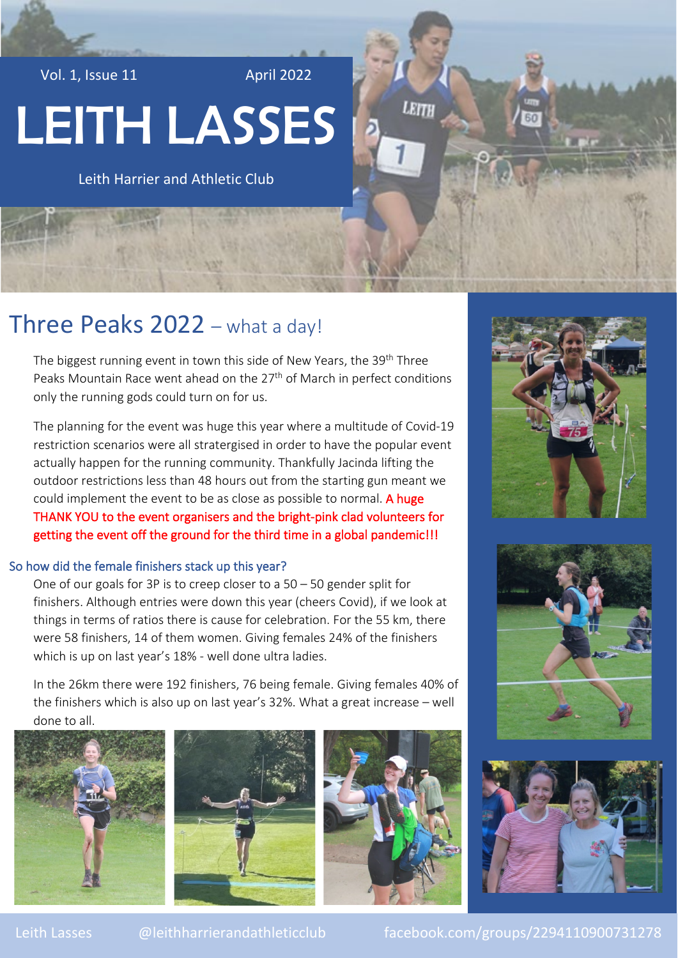Vol. 1, Issue 11 April 2022

# LEITH LASSES

Leith Harrier and Athletic Club

# Three Peaks 2022 – what a day!

The biggest running event in town this side of New Years, the 39<sup>th</sup> Three Peaks Mountain Race went ahead on the 27<sup>th</sup> of March in perfect conditions only the running gods could turn on for us.

The planning for the event was huge this year where a multitude of Covid-19 restriction scenarios were all stratergised in order to have the popular event actually happen for the running community. Thankfully Jacinda lifting the outdoor restrictions less than 48 hours out from the starting gun meant we could implement the event to be as close as possible to normal. A huge THANK YOU to the event organisers and the bright-pink clad volunteers for getting the event off the ground for the third time in a global pandemic!!!

### So how did the female finishers stack up this year?

One of our goals for 3P is to creep closer to a 50 – 50 gender split for finishers. Although entries were down this year (cheers Covid), if we look at things in terms of ratios there is cause for celebration. For the 55 km, there were 58 finishers, 14 of them women. Giving females 24% of the finishers which is up on last year's 18% - well done ultra ladies.

In the 26km there were 192 finishers, 76 being female. Giving females 40% of the finishers which is also up on last year's 32%. What a great increase – well done to all.







**ETTI** 







Leith Lasses @leithharrierandathleticclub facebook.com/groups/2294110900731278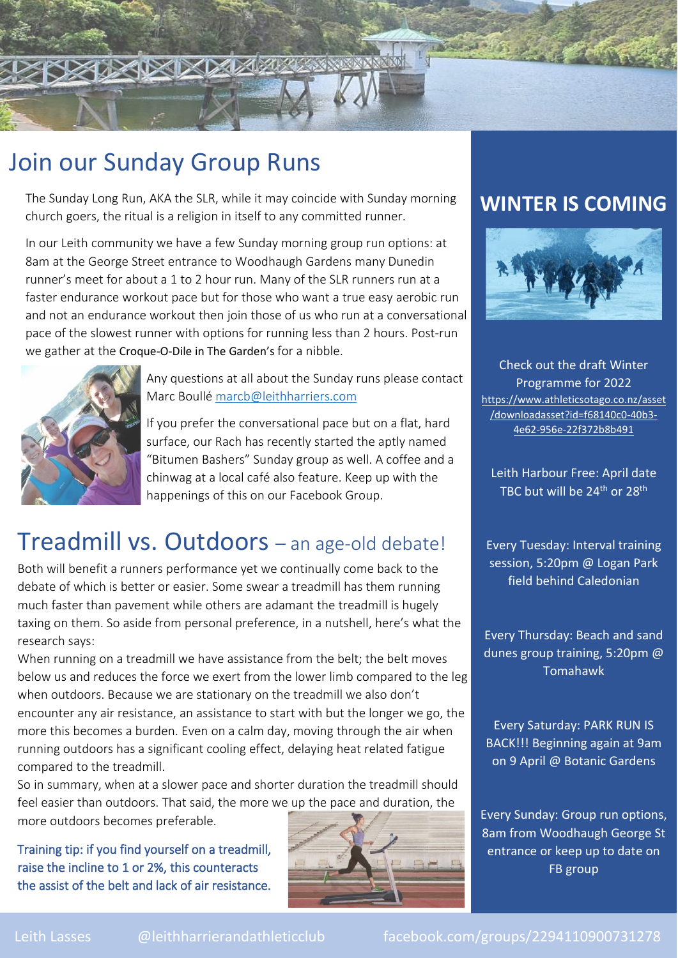

# Join our Sunday Group Runs

The Sunday Long Run, AKA the SLR, while it may coincide with Sunday morning church goers, the ritual is a religion in itself to any committed runner.

In our Leith community we have a few Sunday morning group run options: at 8am at the George Street entrance to Woodhaugh Gardens many Dunedin runner's meet for about a 1 to 2 hour run. Many of the SLR runners run at a faster endurance workout pace but for those who want a true easy aerobic run and not an endurance workout then join those of us who run at a conversational pace of the slowest runner with options for running less than 2 hours. Post-run we gather at the [Croque-O-Dile in The Garden's](https://www.croqueodilecafe.com/) for a nibble.



Any questions at all about the Sunday runs please contact Marc Boullé [marcb@leithharriers.com](mailto:marcb@leithharriers.com)

If you prefer the conversational pace but on a flat, hard surface, our Rach has recently started the aptly named "Bitumen Bashers" Sunday group as well. A coffee and a chinwag at a local café also feature. Keep up with the happenings of this on our Facebook Group.

# Treadmill vs. Outdoors – an age-old debate!

Both will benefit a runners performance yet we continually come back to the debate of which is better or easier. Some swear a treadmill has them running much faster than pavement while others are adamant the treadmill is hugely taxing on them. So aside from personal preference, in a nutshell, here's what the research says:

When running on a treadmill we have assistance from the belt; the belt moves below us and reduces the force we exert from the lower limb compared to the leg when outdoors. Because we are stationary on the treadmill we also don't encounter any air resistance, an assistance to start with but the longer we go, the more this becomes a burden. Even on a calm day, moving through the air when running outdoors has a significant cooling effect, delaying heat related fatigue compared to the treadmill.

So in summary, when at a slower pace and shorter duration the treadmill should feel easier than outdoors. That said, the more we up the pace and duration, the more outdoors becomes preferable.

Training tip: if you find yourself on a treadmill, raise the incline to 1 or 2%, this counteracts the assist of the belt and lack of air resistance.



## **WINTER IS COMING**



Check out the draft Winter Programme for 2022 [https://www.athleticsotago.co.nz/asset](https://www.athleticsotago.co.nz/asset/downloadasset?id=f68140c0-40b3-4e62-956e-22f372b8b491) [/downloadasset?id=f68140c0-40b3-](https://www.athleticsotago.co.nz/asset/downloadasset?id=f68140c0-40b3-4e62-956e-22f372b8b491) [4e62-956e-22f372b8b491](https://www.athleticsotago.co.nz/asset/downloadasset?id=f68140c0-40b3-4e62-956e-22f372b8b491)

Leith Harbour Free: April date TBC but will be 24<sup>th</sup> or 28<sup>th</sup>

Every Tuesday: Interval training session, 5:20pm @ Logan Park field behind Caledonian

Every Thursday: Beach and sand dunes group training, 5:20pm @ Tomahawk

Every Saturday: PARK RUN IS BACK!!! Beginning again at 9am on 9 April @ Botanic Gardens

Every Sunday: Group run options, 8am from Woodhaugh George St entrance or keep up to date on FB group

Leith Lasses @leithharrierandathleticclub facebook.com/groups/2294110900731278